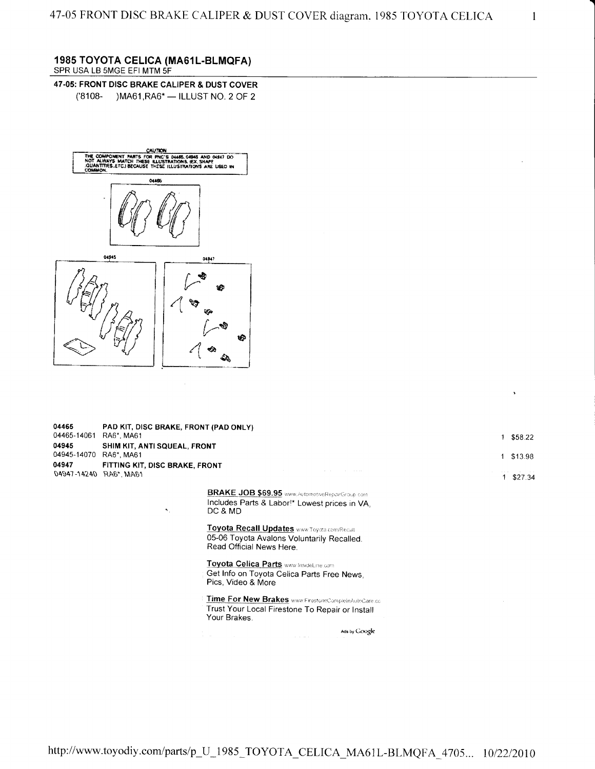$\mathbf{1}$ 

## 1985 TOYOTA CELICA (MA61L-BLMQFA) SPR USA LB 5MGE EFI MTM SF

47-05: FRONT DISC BRAKE CALIPER & DUST COVER ('8108- )MA61, RA6\* - ILLUST NO. 2 OF 2



| 04465<br>04465-14061 | PAD KIT, DISC BRAKE, FRONT (PAD ONLY)<br>RA6*, MA61 |                                                                                                                         | 1. | \$58.22   |
|----------------------|-----------------------------------------------------|-------------------------------------------------------------------------------------------------------------------------|----|-----------|
| 04945<br>04945-14070 | SHIM KIT, ANTI SQUEAL, FRONT<br>RA6*, MA61          |                                                                                                                         | 1  | \$13.98   |
| 04947                | FITTING KIT, DISC BRAKE, FRONT                      |                                                                                                                         |    |           |
| 04947-14240          | RA6*, MA61                                          |                                                                                                                         |    | 1 \$27.34 |
|                      | ۰.                                                  | BRAKE JOB \$69.95 www.AutomotiveReparGroup.com<br>Includes Parts & Labor!* Lowest prices in VA,<br>DC & MD              |    |           |
|                      |                                                     | Toyota Recall Updates www.Toyota.com/Recall<br>05-06 Toyota Avalons Voluntarily Recalled.<br>Read Official News Here.   |    |           |
|                      |                                                     | Toyota Celica Parts www.InsideLine.com<br>Get Info on Toyota Celica Parts Free News,<br>Pics, Video & More              |    |           |
|                      |                                                     | Time For New Brakes www.FirestoneCompleteAutoCare.co<br>Trust Your Local Firestone To Repair or Install<br>Your Brakes. |    |           |
|                      |                                                     | Ads by Google                                                                                                           |    |           |

http://www.toyodiy.com/parts/p\_U\_1985\_TOYOTA\_CELICA\_MA61L-BLMQFA\_4705... 10/22/2010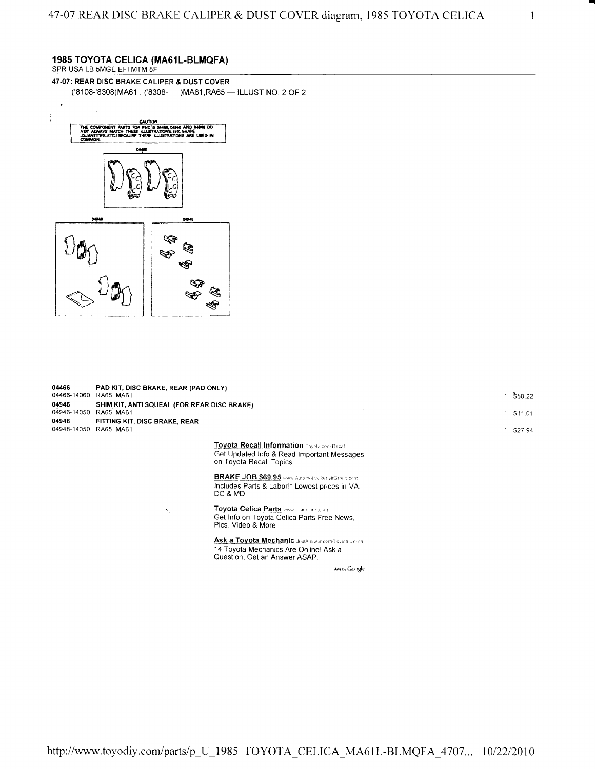## 1985 TOYOTA CELICA (MA61L-BLMQFA) SPR USA LB 5MGE EFI MTM SF

47-07: REAR DISC BRAKE CALIPER & DUST COVER ('8108-'8308) MA61; ('8308- ) MA61, RA65 - ILLUST NO. 2 OF 2



| 04466<br>04466-14060 | PAD KIT, DISC BRAKE, REAR (PAD ONLY)<br>RA65, MA61<br>SHIM KIT, ANTI SQUEAL (FOR REAR DISC BRAKE)<br>RA65, MA61 |                                                                                                                              |  | \$58.22<br>\$11.01 |
|----------------------|-----------------------------------------------------------------------------------------------------------------|------------------------------------------------------------------------------------------------------------------------------|--|--------------------|
| 04946<br>04946-14050 |                                                                                                                 |                                                                                                                              |  |                    |
| 04948<br>04948-14050 | FITTING KIT, DISC BRAKE, REAR<br>RA65, MA61                                                                     |                                                                                                                              |  | \$27.94            |
|                      |                                                                                                                 | Toyota Recall Information Toyota convRecall<br>Get Updated Info & Read Important Messages<br>on Toyota Recall Topics.        |  |                    |
|                      |                                                                                                                 | <b>BRAKE JOB \$69.95</b> www.AutomidiveRepairGroup.com<br>Includes Parts & Labor!* Lowest prices in VA,<br>DC & MD           |  |                    |
|                      | $\lambda$                                                                                                       | <b>Toyota Celica Parts www.insideLine.com</b><br>Get Info on Toyota Celica Parts Free News,<br>Pics, Video & More            |  |                    |
|                      |                                                                                                                 | Ask a Toyota Mechanic JustAnswer com/Toyota/Celica<br>14 Toyota Mechanics Are Online! Ask a<br>Question, Get an Answer ASAP. |  |                    |

Ads by Google